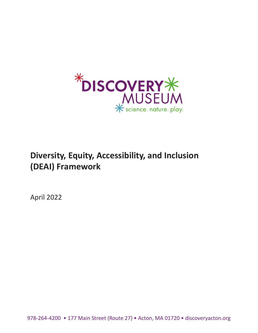

# **Diversity, Equity, Accessibility, and Inclusion (DEAI) Framework**

April 2022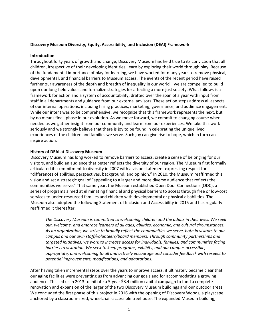#### **Discovery Museum Diversity, Equity, Accessibility, and Inclusion (DEAI) Framework**

#### **Introduction**

Throughout forty years of growth and change, Discovery Museum has held true to its conviction that all children, irrespective of their developing identities, learn by exploring their world through play. Because of the fundamental importance of play for learning, we have worked for many years to remove physical, developmental, and financial barriers to Museum access. The events of the recent period have raised further our awareness of the depth and breadth of inequality in our world—we are compelled to build upon our long-held values and formalize strategies for affecting a more just society. What follows is a framework for action and a system of accountability, drafted over the span of a year with input from staff in all departments and guidance from our external advisors. These action steps address all aspects of our internal operations, including hiring practices, marketing, governance, and audience engagement. While our intent was to be comprehensive, we recognize that this framework represents the next, but by no means final, phase in our evolution. As we move forward, we commit to changing course when needed as we gather insight from our community and learn from our experiences. We take this work seriously and we strongly believe that there is joy to be found in celebrating the unique lived experiences of the children and families we serve. Such joy can give rise to hope, which in turn can inspire action.

#### **History of DEAI at Discovery Museum**

Discovery Museum has long worked to remove barriers to access, create a sense of belonging for our visitors, and build an audience that better reflects the diversity of our region. The Museum first formally articulated its commitment to diversity in 2007 with a vision statement expressing respect for "differences of abilities, perspectives, background, and opinion." In 2010, the Museum reaffirmed this vision and set a strategic goal of "appealing to a larger and more diverse audience that reflects the communities we serve." That same year, the Museum established Open Door Connections (ODC), a series of programs aimed at eliminating financial and physical barriers to access through free or low-cost services to under-resourced families and children with developmental or physical disabilities. The Museum also adopted the following Statement of Inclusion and Accessibility in 2015 and has regularly reaffirmed it thereafter:

*The Discovery Museum is committed to welcoming children and the adults in their lives. We seek out, welcome, and embrace learners of all ages, abilities, economic, and cultural circumstances. As an organization, we strive to broadly reflect the communities we serve, both in visitors to our campus and our own staff/volunteers/board members. Through community partnerships and targeted initiatives, we work to increase access for individuals, families, and communities facing barriers to visitation. We seek to keep programs, exhibits, and our campus accessible, appropriate, and welcoming to all and actively encourage and consider feedback with respect to potential improvements, modifications, and adaptations.*

After having taken incremental steps over the years to improve access, it ultimately became clear that our aging facilities were preventing us from advancing our goals and for accommodating a growing audience. This led us in 2013 to initiate a 5-year \$8.4 million capital campaign to fund a complete renovation and expansion of the larger of the two Discovery Museum buildings and our outdoor areas. We concluded the first phase of this project in 2016 with the opening of Discovery Woods, a playscape anchored by a classroom-sized, wheelchair-accessible treehouse. The expanded Museum building,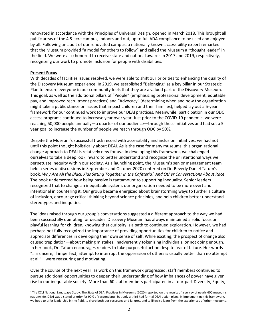renovated in accordance with the Principles of Universal Design, opened in March 2018. This brought all public areas of the 4.5-acre campus, indoors and out, up to full ADA compliance to be used and enjoyed by all. Following an audit of our renovated campus, a nationally known accessibility expert remarked that the Museum provided "a model for others to follow" and called the Museum a "thought leader" in the field. We were also honored to receive state and national awards in 2017 and 2019, respectively, recognizing our work to promote inclusion for people with disabilities.

#### **Present Focus**

With decades of facilities issues resolved, we were able to shift our priorities to enhancing the quality of the Discovery Museum experience. In 2019, we established "Belonging" as a key pillar in our Strategic Plan to ensure everyone in our community feels that they are a valued part of the Discovery Museum. This goal, as well as the additional pillars of "People" (emphasizing professional development, equitable pay, and improved recruitment practices) and "Advocacy" (determining when and how the organization might take a public stance on issues that impact children and their families), helped lay out a 5-year framework for our continued work to improve our DEAI practices. Meanwhile, participation in our ODC access programs continued to increase year over year. Just prior to the COVID-19 pandemic, we were reaching 50,000 people annually—a quarter of our audience—through these initiatives and had set a 5 year goal to increase the number of people we reach through ODC by 50%.

Despite the Museum's successful track record with accessibility and inclusion initiatives, we had not until this point thought holistically about DEAI. As is the case for many museums, this organizational change approach to DEAI is relatively new for us.<sup>1</sup> In developing this framework, we challenged ourselves to take a deep look inward to better understand and recognize the unintentional ways we perpetuate inequity within our society. As a launching point, the Museum's senior management team held a series of discussions in September and October 2020 centered on Dr. Beverly Daniel Tatum's book, *Why Are All the Black Kids Sitting Together in the Cafeteria? And Other Conversations About Race.* The book underscored how being passive is tantamount to supporting inequality. Senior leaders recognized that to change an inequitable system, our organization needed to be more overt and intentional in countering it. Our group became energized about brainstorming ways to further a culture of inclusion, encourage critical thinking beyond science principles, and help children better understand stereotypes and inequities.

The ideas raised through our group's conversations suggested a different approach to the way we had been successfully operating for decades. Discovery Museum has always maintained a solid focus on playful learning for children, knowing that curiosity is a path to continued exploration. However, we had perhaps not fully recognized the importance of providing opportunities for children to notice and appreciate differences in developing their own sense of self. While exciting, the prospect of change also caused trepidation—about making mistakes, inadvertently tokenizing individuals, or not doing enough. In her book, Dr. Tatum encourages readers to take purposeful action despite fear of failure. Her words "…a sincere, if imperfect, attempt to interrupt the oppression of others is usually better than no attempt at all"—were reassuring and motivating.

Over the course of the next year, as work on this framework progressed, staff members continued to pursue additional opportunities to deepen their understanding of how imbalances of power have given rise to our inequitable society. More than 60 staff members participated in a four-part Diversity, Equity,

<sup>&</sup>lt;sup>1</sup> The CCLI National Landscape Study: The State of DEAI Practices in Museums (2020) reported on the results of a survey of nearly 600 museums nationwide. DEAI was a stated priority for 90% of respondents, but only a third had formal DEAI action plans. In implementing this framework, we hope to offer leadership in the field, to share both our successes and failures, and to likewise learn from the experiences of other museums.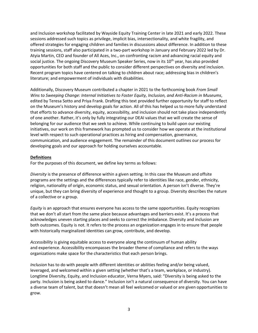and Inclusion workshop facilitated by Wayside Equity Training Center in late 2021 and early 2022. These sessions addressed such topics as privilege, implicit bias, intersectionality, and white fragility, and offered strategies for engaging children and families in discussions about difference. In addition to these training sessions, staff also participated in a two-part workshop in January and February 2022 led by Dr. Atyia Martin, CEO and founder of All Aces, Inc., on confronting racism and advancing racial equity and social justice. The ongoing Discovery Museum Speaker Series, now in its 10<sup>th</sup> year, has also provided opportunities for both staff and the public to consider different perspectives on diversity and inclusion. Recent program topics have centered on talking to children about race; addressing bias in children's literature; and empowerment of individuals with disabilities.

Additionally, Discovery Museum contributed a chapter in 2021 to the forthcoming book *From Small Wins to Sweeping Change: Internal Initiatives to Foster Equity, Inclusion, and Anti-Racism in Museums*, edited by Teresa Sotto and Priya Frank. Drafting this text provided further opportunity for staff to reflect on the Museum's history and develop goals for action. All of this has helped us to more fully understand that efforts to advance diversity, equity, accessibility, and inclusion should not take place independently of one another. Rather, it's only by fully integrating our DEAI values that we will create the sense of belonging for our audience that we seek to achieve. While continuing to build upon our existing initiatives, our work on this framework has prompted us to consider how we operate at the institutional level with respect to such operational practices as hiring and compensation, governance, communication, and audience engagement. The remainder of this document outlines our process for developing goals and our approach for holding ourselves accountable.

#### **Definitions**

For the purposes of this document, we define key terms as follows:

*Diversity* is the presence of difference within a given setting. In this case the Museum and offsite programs are the settings and the differences typically refer to identities like race, gender, ethnicity, religion, nationality of origin, economic status, and sexual orientation. A person isn't diverse. They're unique, but they can bring diversity of experience and thought to a group. Diversity describes the nature of a collective or a group.

*Equity* is an approach that ensures everyone has access to the same opportunities. Equity recognizes that we don't all start from the same place because advantages and barriers exist. It's a process that acknowledges uneven starting places and seeks to correct the imbalance. Diversity and inclusion are both outcomes. Equity is not. It refers to the process an organization engages in to ensure that people with historically marginalized identities can grow, contribute, and develop.

*Accessibility* is giving equitable access to everyone along the continuum of human ability and experience. Accessibility encompasses the broader theme of compliance and refers to the ways organizations make space for the characteristics that each person brings.

*Inclusion* has to do with people with different identities or abilities feeling and/or being valued, leveraged, and welcomed within a given setting (whether that's a team, workplace, or industry). Longtime Diversity, Equity, and Inclusion educator, Verna Myers, said: "Diversity is being asked to the party. Inclusion is being asked to dance." Inclusion isn't a natural consequence of diversity. You can have a diverse team of talent, but that doesn't mean all feel welcomed or valued or are given opportunities to grow.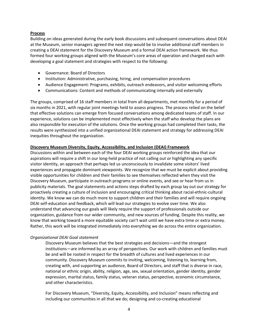#### **Process**

Building on ideas generated during the early book discussions and subsequent conversations about DEAI at the Museum, senior managers agreed the next step would be to involve additional staff members in creating a DEAI statement for the Discovery Museum and a formal DEAI action framework. We thus formed four working groups aligned with the Museum's core areas of operation and charged each with developing a goal statement and strategies with respect to the following:

- Governance: Board of Directors
- Institution: Administrative, purchasing, hiring, and compensation procedures
- Audience Engagement: Programs, exhibits, outreach endeavors, and visitor welcoming efforts
- Communications: Content and methods of communicating internally and externally

The groups, comprised of 16 staff members in total from all departments, met monthly for a period of six months in 2021, with regular joint meetings held to assess progress. The process relied on the belief that effective solutions can emerge from focused conversations among dedicated teams of staff. In our experience, solutions can be implemented most effectively when the staff who develop the plans are also responsible for execution of the solutions. Once the working groups had completed their tasks, the results were synthesized into a unified organizational DEAI statement and strategy for addressing DEAI inequities throughout the organization.

## **Discovery Museum Diversity, Equity, Accessibility, and Inclusion (DEAI) Framework**

Discussions within and between each of the four DEAI working groups reinforced the idea that our aspirations will require a shift in our long-held practice of not calling out or highlighting any specific visitor identity, an approach that perhaps led us unconsciously to invalidate some visitors' lived experiences and propagate dominant viewpoints. We recognize that we must be explicit about providing visible opportunities for children and their families to see themselves reflected when they visit the Discovery Museum, participate in outreach programs or online events, and see or hear from us in publicity materials. The goal statements and actions steps drafted by each group lay out our strategy for proactively creating a culture of inclusion and encouraging critical thinking about racial-ethnic-cultural identity. We know we can do much more to support children and their families and will require ongoing DEAI self-education and feedback, which will lead our strategies to evolve over time. We also understand that advancing our goals will likely require the support of professionals outside our organization, guidance from our wider community, and new sources of funding. Despite this reality, we know that working toward a more equitable society can't wait until we have extra time or extra money. Rather, this work will be integrated immediately into everything we do across the entire organization.

## *Organizational DEAI Goal statement*

Discovery Museum believes that the best strategies and decisions—and the strongest institutions—are informed by an array of perspectives. Our work with children and families must be and will be rooted in respect for the breadth of cultures and lived experiences in our community. Discovery Museum commits to inviting, welcoming, listening to, learning from, creating with, and supporting an audience, Board of Directors, and staff that is diverse in race, national or ethnic origin, ability, religion, age, sex, sexual orientation, gender identity, gender expression, marital status, family status, veteran status, perspective, economic circumstance, and other characteristics.

For Discovery Museum, "Diversity, Equity, Accessibility, and Inclusion" means reflecting and including our communities in all that we do; designing and co-creating educational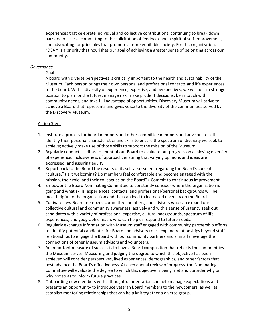experiences that celebrate individual and collective contributions; continuing to break down barriers to access; committing to the solicitation of feedback and a spirit of self-improvement; and advocating for principles that promote a more equitable society. For this organization, "DEAI" is a priority that nourishes our goal of achieving a greater sense of belonging across our community.

#### *Governance*

#### Goal

A board with diverse perspectives is critically important to the health and sustainability of the Museum. Each person brings their own personal and professional contacts and life experiences to the board. With a diversity of experience, expertise, and perspectives, we will be in a stronger position to plan for the future, manage risk, make prudent decisions, be in touch with community needs, and take full advantage of opportunities. Discovery Museum will strive to achieve a Board that represents and gives voice to the diversity of the communities served by the Discovery Museum.

#### Action Steps

- 1. Institute a process for board members and other committee members and advisors to selfidentify their personal characteristics and skills to ensure the spectrum of diversity we seek to achieve; actively make use of those skills to support the mission of the Museum.
- 2. Regularly conduct a self-assessment of our Board to evaluate our progress on achieving diversity of experience, inclusiveness of approach, ensuring that varying opinions and ideas are expressed, and assuring equity.
- 3. Report back to the Board the results of its self-assessment regarding the Board's current "culture." (Is it welcoming? Do members feel comfortable and become engaged with the mission, their role, and their colleagues on the Board?) Commit to continuous improvement.
- 4. Empower the Board Nominating Committee to constantly consider where the organization is going and what skills, experiences, contacts, and professional/personal backgrounds will be most helpful to the organization and that can lead to increased diversity on the Board.
- 5. Cultivate new Board members, committee members, and advisors who can expand our collective cultural and community awareness; actively and with a sense of urgency seek out candidates with a variety of professional expertise, cultural backgrounds, spectrum of life experiences, and geographic reach, who can help us respond to future needs.
- 6. Regularly exchange information with Museum staff engaged with community partnership efforts to identify potential candidates for Board and advisory roles; expand relationships beyond staff relationships to engage the Board with our community partners and similarly leverage the connections of other Museum advisors and volunteers.
- 7. An important measure of success is to have a Board composition that reflects the communities the Museum serves. Measuring and judging the degree to which this objective has been achieved will consider perspectives, lived experiences, demographics, and other factors that best advance the Board's effectiveness. At each annual review of progress, the Nominating Committee will evaluate the degree to which this objective is being met and consider why or why not so as to inform future practices.
- 8. Onboarding new members with a thoughtful orientation can help manage expectations and presents an opportunity to introduce veteran Board members to the newcomers, as well as establish mentoring relationships that can help knit together a diverse group.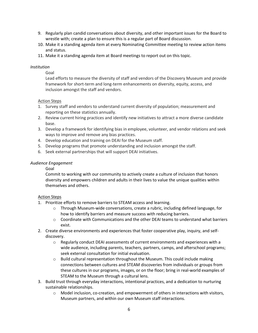- 9. Regularly plan candid conversations about diversity, and other important issues for the Board to wrestle with; create a plan to ensure this is a regular part of Board discussion.
- 10. Make it a standing agenda item at every Nominating Committee meeting to review action items and status.
- 11. Make it a standing agenda item at Board meetings to report out on this topic.

#### *Institution*

Goal

Lead efforts to measure the diversity of staff and vendors of the Discovery Museum and provide framework for short-term and long-term enhancements on diversity, equity, access, and inclusion amongst the staff and vendors.

## Action Steps

- 1. Survey staff and vendors to understand current diversity of population; measurement and reporting on these statistics annually.
- 2. Review current hiring practices and identify new initiatives to attract a more diverse candidate base.
- 3. Develop a framework for identifying bias in employee, volunteer, and vendor relations and seek ways to improve and remove any bias practices.
- 4. Develop education and training on DEAI for the Museum staff.
- 5. Develop programs that promote understanding and inclusion amongst the staff.
- 6. Seek external partnerships that will support DEAI initiatives.

## *Audience Engagement*

#### Goal

Commit to working with our community to actively create a culture of inclusion that honors diversity and empowers children and adults in their lives to value the unique qualities within themselves and others.

## Action Steps

- 1. Prioritize efforts to remove barriers to STEAM access and learning.
	- $\circ$  Through Museum-wide conversations, create a rubric, including defined language, for how to identify barriers and measure success with reducing barriers.
	- $\circ$  Coordinate with Communications and the other DEAI teams to understand what barriers exist.
- 2. Create diverse environments and experiences that foster cooperative play, inquiry, and selfdiscovery.
	- $\circ$  Regularly conduct DEAI assessments of current environments and experiences with a wide audience, including parents, teachers, partners, camps, and afterschool programs; seek external consultation for initial evaluation.
	- $\circ$  Build cultural representation throughout the Museum. This could include making connections between cultures and STEAM discoveries from individuals or groups from these cultures in our programs, images, or on the floor; bring in real-world examples of STEAM to the Museum through a cultural lens.
- 3. Build trust through everyday interactions, intentional practices, and a dedication to nurturing sustainable relationships.
	- o Model inclusion, co-creation, and empowerment of others in interactions with visitors, Museum partners, and within our own Museum staff interactions.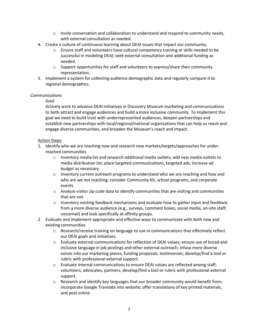- $\circ$  Invite conversation and collaboration to understand and respond to community needs, with external consultation as needed.
- 4. Create a culture of continuous learning about DEAI issues that impact our community.
	- o Ensure staff and volunteers have cultural competency training or skills needed to be successful in modeling DEAI; seek external consultation and additional funding as needed.
	- $\circ$  Support opportunities for staff and volunteers to express/share their community representation.
- 5. Implement a system for collecting audience demographic data and regularly compare it to regional demographics.

## *Communications*

# Goal

Actively work to advance DEAI initiatives in Discovery Museum marketing and communications to both attract and engage audiences and build a more inclusive community. To implement this goal we need to build trust with underrepresented audiences, deepen partnerships and establish new partnerships with local/regional/national organizations that can help us reach and engage diverse communities, and broaden the Museum's reach and impact.

## Action Steps

- 1. Identify who we are reaching now and research new markets/targets/approaches for underreached communities
	- $\circ$  Inventory media list and research additional media outlets; add new media outlets to media distribution list; place targeted communications, targeted ads; increase ad budget as necessary.
	- $\circ$  Inventory current outreach programs to understand who we are reaching and how and who are we not reaching; consider Community Kit, school programs, and corporate events.
	- $\circ$  Analyze visitor zip code data to identify communities that are visiting and communities that are not.
	- $\circ$  Inventory existing feedback mechanisms and evaluate how to gather input and feedback from a more diverse audience (e.g., surveys, comment boxes, social media, on-site staff; voicemail) and look specifically at affinity groups.
- 2. Evaluate and implement appropriate and effective ways to communicate with both new and existing communities
	- o Research/receive training on language to use in communications that effectively reflect our DEAI goals and initiatives.
	- o Evaluate external communications for reflection of DEAI values; ensure use of broad and inclusive language in job postings and other external outreach; infuse more diverse voices into our marketing pieces, funding proposals, testimonials; develop/find a tool or rubric with professional external support.
	- $\circ$  Evaluate internal communications to ensure DEAI values are reflected among staff, volunteers, advocates, partners; develop/find a tool or rubric with professional external support.
	- $\circ$  Research and identify key languages that our broader community would benefit from; incorporate Google Translate into website; offer translations of key printed materials, and post online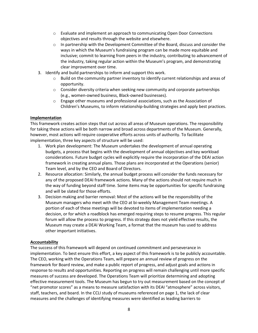- $\circ$  Evaluate and implement an approach to communicating Open Door Connections objectives and results through the website and elsewhere.
- $\circ$  In partnership with the Development Committee of the Board, discuss and consider the ways in which the Museum's fundraising program can be made more equitable and inclusive; commit to learning from peers in the industry, contributing to advancement of the industry, taking regular action within the Museum's program, and demonstrating clear improvement over time.
- 3. Identify and build partnerships to inform and support this work.
	- $\circ$  Build on the community partner inventory to identify current relationships and areas of opportunity.
	- $\circ$  Consider diversity criteria when seeking new community and corporate partnerships (e.g., women-owned business, Black-owned businesses).
	- $\circ$  Engage other museums and professional associations, such as the Association of Children's Museums, to inform relationship-building strategies and apply best practices.

## **Implementation**

This framework creates action steps that cut across all areas of Museum operations. The responsibility for taking these actions will be both narrow and broad across departments of the Museum. Generally, however, most actions will require cooperative efforts across units of authority. To facilitate implementation, three key aspects of structure will be used:

- 1. Work plan development: The Museum undertakes the development of annual operating budgets, a process that begins with the development of annual objectives and key workload considerations. Future budget cycles will explicitly require the incorporation of the DEAI action framework in creating annual plans. Those plans are incorporated at the Operations (senior) Team level, and by the CEO and Board of Directors.
- 2. Resource allocation: Similarly, the annual budget process will consider the funds necessary for any of the proposed DEAI framework actions. Many of the actions should not require much in the way of funding beyond staff time. Some items may be opportunities for specific fundraising and will be slated for those efforts.
- 3. Decision making and barrier removal: Most of the actions will be the responsibility of the Museum managers who meet with the CEO at bi-weekly Management Team meetings. A portion of each of these meetings will be devoted to items of implementation needing a decision, or for which a roadblock has emerged requiring steps to resume progress. This regular forum will allow the process to progress. If this strategy does not yield effective results, the Museum may create a DEAI Working Team, a format that the museum has used to address other important initiatives.

## **Accountability**

The success of this framework will depend on continued commitment and perseverance in implementation. To best ensure this effort, a key aspect of this framework is to be publicly accountable. The CEO, working with the Operations Team, will prepare an annual review of progress on the framework for Board review, and make a public report of progress, and adjust goals and actions in response to results and opportunities. Reporting on progress will remain challenging until more specific measures of success are developed. The Operations Team will prioritize determining and adopting effective measurement tools. The Museum has begun to try out measurement based on the concept of "net promotor scores" as a means to measure satisfaction with its DEAI "atmosphere" across visitors, staff, teachers, and board. In the CCLI study of museums referenced on page 1, the lack of clear measures and the challenges of identifying measures were identified as leading barriers to